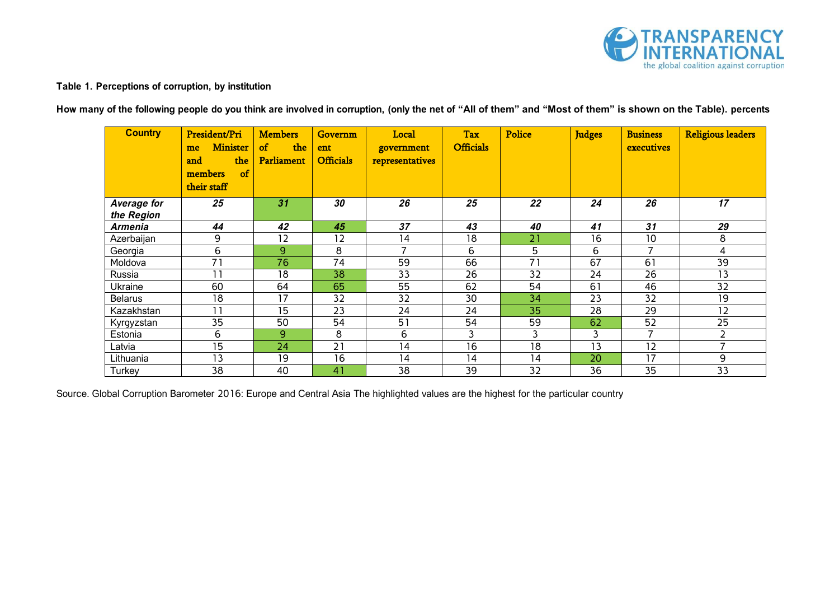

## **Table 1. Perceptions of corruption, by institution**

**How many of the following people do you think are involved in corruption, (only the net of "All of them" and "Most of them" is shown on the Table). percents**

| <b>Country</b>            | President/Pri<br><b>Minister</b><br>me<br>the<br>and<br>of<br>members<br>their staff | <b>Members</b><br>$\sigma$<br>the<br><b>Parliament</b> | <b>Governm</b><br>ent<br><b>Officials</b> | Local<br>government<br>representatives | <b>Tax</b><br><b>Officials</b> | <b>Police</b>   | <b>Judges</b> | <b>Business</b><br>executives | <b>Religious leaders</b> |
|---------------------------|--------------------------------------------------------------------------------------|--------------------------------------------------------|-------------------------------------------|----------------------------------------|--------------------------------|-----------------|---------------|-------------------------------|--------------------------|
| Average for<br>the Region | 25                                                                                   | 31                                                     | 30                                        | 26                                     | 25                             | 22              | 24            | 26                            | 17                       |
| <b>Armenia</b>            | 44                                                                                   | 42                                                     | 45                                        | 37                                     | 43                             | 40              | 41            | 31                            | 29                       |
| Azerbaijan                | 9                                                                                    | 12                                                     | 12                                        | 14                                     | 18                             | 21              | 16            | 10                            | 8                        |
| Georgia                   | 6                                                                                    | 9                                                      | 8                                         |                                        | 6                              | 5               | 6             | 7                             | 4                        |
| Moldova                   | 71                                                                                   | 76                                                     | 74                                        | 59                                     | 66                             | 71              | 67            | 61                            | 39                       |
| Russia                    | 11                                                                                   | 18                                                     | 38                                        | 33                                     | 26                             | 32              | 24            | 26                            | 13                       |
| <b>Ukraine</b>            | 60                                                                                   | 64                                                     | 65                                        | 55                                     | 62                             | 54              | 61            | 46                            | 32                       |
| <b>Belarus</b>            | 18                                                                                   | 17                                                     | 32                                        | 32                                     | 30                             | 34              | 23            | 32                            | 19                       |
| Kazakhstan                | 11                                                                                   | 15                                                     | 23                                        | 24                                     | 24                             | 35              | 28            | 29                            | 12                       |
| Kyrgyzstan                | 35                                                                                   | 50                                                     | 54                                        | 51                                     | 54                             | 59              | 62            | 52                            | 25                       |
| Estonia                   | $6\phantom{1}$                                                                       | 9                                                      | 8                                         | 6                                      | 3                              | 3               | 3             | 7                             | 2                        |
| Latvia                    | 15                                                                                   | 24                                                     | 21                                        | 14                                     | 16                             | 18              | 13            | 12                            | $\overline{ }$           |
| Lithuania                 | 13                                                                                   | 19                                                     | 16                                        | 14                                     | 14                             | 14              | 20            | 17                            | 9                        |
| Turkey                    | $\overline{38}$                                                                      | 40                                                     | 41                                        | 38                                     | 39                             | $\overline{32}$ | 36            | $\overline{35}$               | $\overline{33}$          |

Source. Global Corruption Barometer 2016: Europe and Central Asia The highlighted values are the highest for the particular country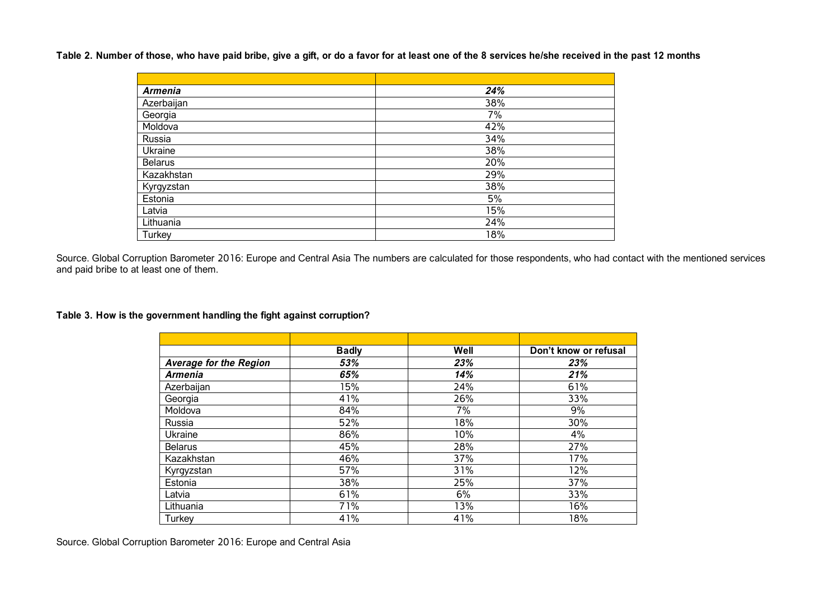**Table 2. Number of those, who have paid bribe, give a gift, or do a favor for at least one of the 8 services he/she received in the past 12 months** 

| <b>Armenia</b> | 24% |
|----------------|-----|
| Azerbaijan     | 38% |
| Georgia        | 7%  |
| Moldova        | 42% |
| Russia         | 34% |
| Ukraine        | 38% |
| <b>Belarus</b> | 20% |
| Kazakhstan     | 29% |
| Kyrgyzstan     | 38% |
| Estonia        | 5%  |
| Latvia         | 15% |
| Lithuania      | 24% |
| Turkey         | 18% |

Source. Global Corruption Barometer 2016: Europe and Central Asia The numbers are calculated for those respondents, who had contact with the mentioned services and paid bribe to at least one of them.

**Table 3. How is the government handling the fight against corruption?**

|                               | <b>Badly</b> | Well | Don't know or refusal |
|-------------------------------|--------------|------|-----------------------|
| <b>Average for the Region</b> | 53%          | 23%  | 23%                   |
| <b>Armenia</b>                | 65%          | 14%  | 21%                   |
| Azerbaijan                    | 15%          | 24%  | 61%                   |
| Georgia                       | 41%          | 26%  | 33%                   |
| Moldova                       | 84%          | 7%   | 9%                    |
| Russia                        | 52%          | 18%  | 30%                   |
| Ukraine                       | 86%          | 10%  | 4%                    |
| <b>Belarus</b>                | 45%          | 28%  | 27%                   |
| Kazakhstan                    | 46%          | 37%  | 17%                   |
| Kyrgyzstan                    | 57%          | 31%  | 12%                   |
| Estonia                       | 38%          | 25%  | 37%                   |
| Latvia                        | 61%          | 6%   | 33%                   |
| Lithuania                     | 71%          | 13%  | 16%                   |
| Turkey                        | 41%          | 41%  | 18%                   |

Source. Global Corruption Barometer 2016: Europe and Central Asia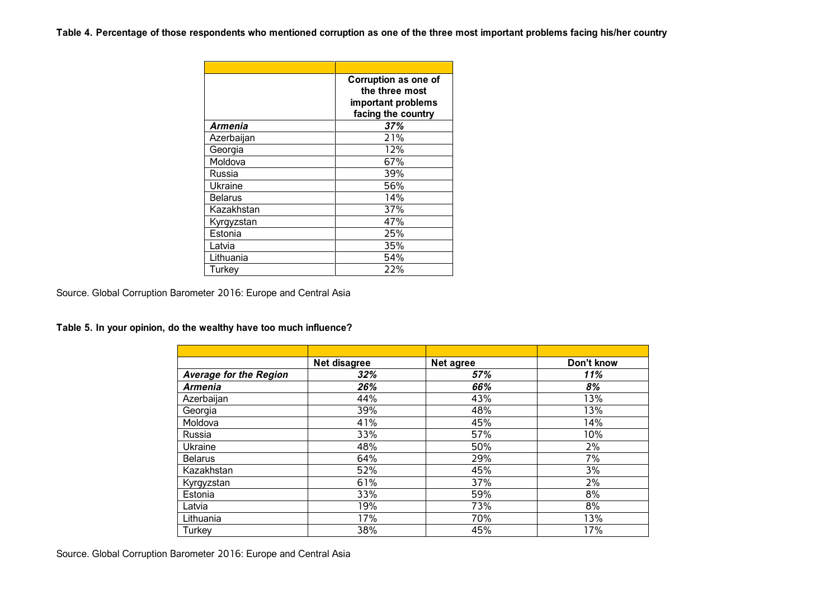**Table 4. Percentage of those respondents who mentioned corruption as one of the three most important problems facing his/her country**

|                | Corruption as one of<br>the three most<br>important problems<br>facing the country |
|----------------|------------------------------------------------------------------------------------|
| Armenia        | 37%                                                                                |
| Azerbaijan     | 21%                                                                                |
| Georgia        | 12%                                                                                |
| Moldova        | 67%                                                                                |
| Russia         | 39%                                                                                |
| Ukraine        | 56%                                                                                |
| <b>Belarus</b> | 14%                                                                                |
| Kazakhstan     | 37%                                                                                |
| Kyrgyzstan     | 47%                                                                                |
| Estonia        | 25%                                                                                |
| Latvia         | 35%                                                                                |
| Lithuania      | 54%                                                                                |
| Turkey         | 22%                                                                                |

Source. Global Corruption Barometer 2016: Europe and Central Asia

**Table 5. In your opinion, do the wealthy have too much influence?**

|                               | Net disagree | <b>Net agree</b> | Don't know |
|-------------------------------|--------------|------------------|------------|
| <b>Average for the Region</b> | 32%          | 57%              | 11%        |
| <b>Armenia</b>                | 26%          | 66%              | 8%         |
| Azerbaijan                    | 44%          | 43%              | 13%        |
| Georgia                       | 39%          | 48%              | 13%        |
| Moldova                       | 41%          | 45%              | 14%        |
| Russia                        | 33%          | 57%              | 10%        |
| Ukraine                       | 48%          | 50%              | 2%         |
| <b>Belarus</b>                | 64%          | 29%              | 7%         |
| Kazakhstan                    | 52%          | 45%              | 3%         |
| Kyrgyzstan                    | 61%          | 37%              | 2%         |
| Estonia                       | 33%          | 59%              | 8%         |
| Latvia                        | 19%          | 73%              | 8%         |
| Lithuania                     | 17%          | 70%              | 13%        |
| Turkey                        | 38%          | 45%              | 17%        |

Source. Global Corruption Barometer 2016: Europe and Central Asia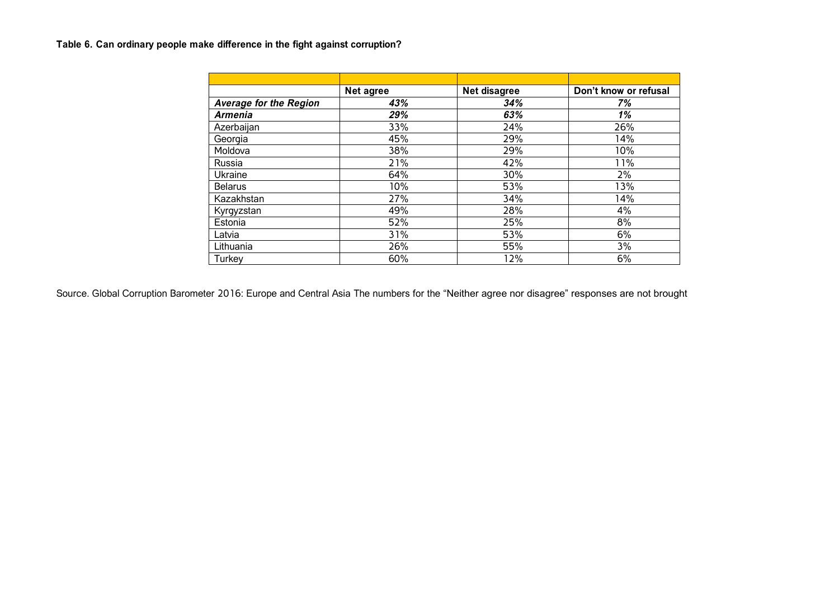# **Table 6. Can ordinary people make difference in the fight against corruption?**

|                               | <b>Net agree</b> | Net disagree | Don't know or refusal |
|-------------------------------|------------------|--------------|-----------------------|
| <b>Average for the Region</b> | 43%              | 34%          | 7%                    |
| <b>Armenia</b>                | 29%              | 63%          | 1%                    |
| Azerbaijan                    | 33%              | 24%          | 26%                   |
| Georgia                       | 45%              | 29%          | 14%                   |
| Moldova                       | 38%              | 29%          | 10%                   |
| Russia                        | 21%              | 42%          | 11%                   |
| Ukraine                       | 64%              | 30%          | 2%                    |
| <b>Belarus</b>                | 10%              | 53%          | 13%                   |
| Kazakhstan                    | 27%              | 34%          | 14%                   |
| Kyrgyzstan                    | 49%              | 28%          | 4%                    |
| Estonia                       | 52%              | 25%          | 8%                    |
| Latvia                        | 31%              | 53%          | 6%                    |
| Lithuania                     | 26%              | 55%          | 3%                    |
| Turkey                        | 60%              | 12%          | 6%                    |

Source. Global Corruption Barometer 2016: Europe and Central Asia The numbers for the "Neither agree nor disagree" responses are not brought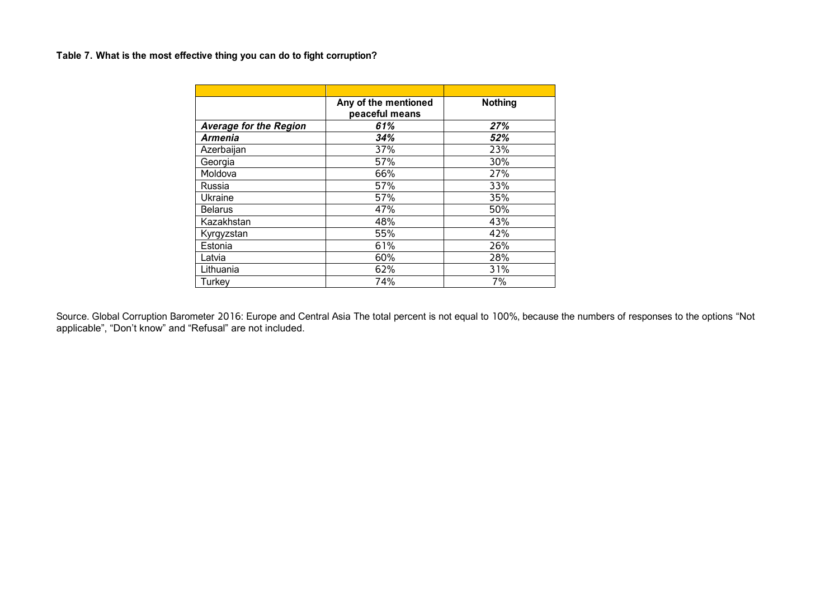## **Table 7. What is the most effective thing you can do to fight corruption?**

|                               | Any of the mentioned<br>peaceful means | <b>Nothing</b> |
|-------------------------------|----------------------------------------|----------------|
| <b>Average for the Region</b> | 61%                                    | 27%            |
| <b>Armenia</b>                | 34%                                    | 52%            |
| Azerbaijan                    | 37%                                    | 23%            |
| Georgia                       | 57%                                    | 30%            |
| Moldova                       | 66%                                    | 27%            |
| Russia                        | 57%                                    | 33%            |
| Ukraine                       | 57%                                    | 35%            |
| <b>Belarus</b>                | 47%                                    | 50%            |
| Kazakhstan                    | 48%                                    | 43%            |
| Kyrgyzstan                    | 55%                                    | 42%            |
| Estonia                       | 61%                                    | 26%            |
| Latvia                        | 60%                                    | 28%            |
| Lithuania                     | 62%                                    | 31%            |
| Turkey                        | 74%                                    | 7%             |

Source. Global Corruption Barometer 2016: Europe and Central Asia The total percent is not equal to 100%, because the numbers of responses to the options "Not applicable", "Don't know" and "Refusal" are not included.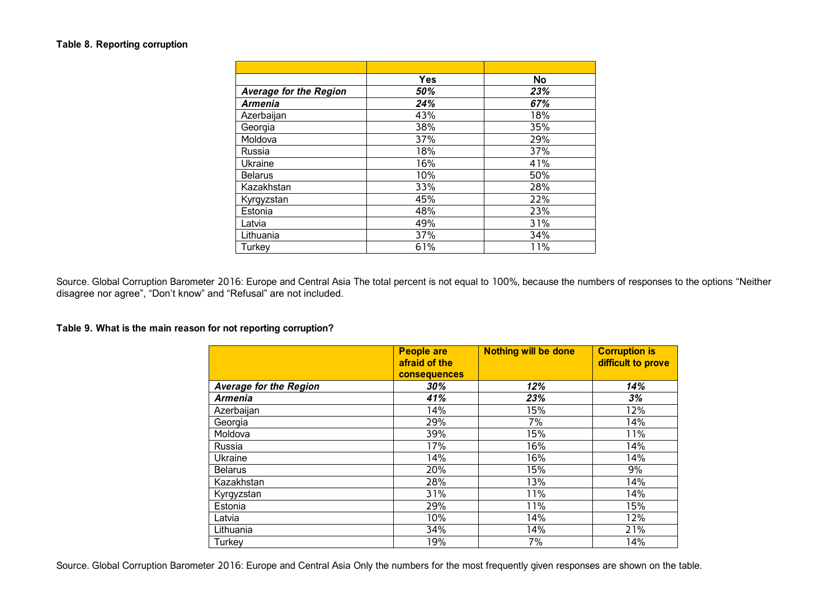#### **Table 8. Reporting corruption**

|                               | Yes | <b>No</b> |
|-------------------------------|-----|-----------|
| <b>Average for the Region</b> | 50% | 23%       |
| <b>Armenia</b>                | 24% | 67%       |
| Azerbaijan                    | 43% | 18%       |
| Georgia                       | 38% | 35%       |
| Moldova                       | 37% | 29%       |
| Russia                        | 18% | 37%       |
| Ukraine                       | 16% | 41%       |
| <b>Belarus</b>                | 10% | 50%       |
| Kazakhstan                    | 33% | 28%       |
| Kyrgyzstan                    | 45% | 22%       |
| Estonia                       | 48% | 23%       |
| Latvia                        | 49% | 31%       |
| Lithuania                     | 37% | 34%       |
| Turkey                        | 61% | 11%       |

Source. Global Corruption Barometer 2016: Europe and Central Asia The total percent is not equal to 100%, because the numbers of responses to the options "Neither disagree nor agree", "Don't know" and "Refusal" are not included.

#### **Table 9. What is the main reason for not reporting corruption?**

|                               | <b>People are</b><br>afraid of the<br><b>consequences</b> | <b>Nothing will be done</b> | <b>Corruption is</b><br>difficult to prove |
|-------------------------------|-----------------------------------------------------------|-----------------------------|--------------------------------------------|
| <b>Average for the Region</b> | 30%                                                       | 12%                         | 14%                                        |
| <b>Armenia</b>                | 41%                                                       | 23%                         | 3%                                         |
| Azerbaijan                    | 14%                                                       | 15%                         | 12%                                        |
| Georgia                       | 29%                                                       | 7%                          | 14%                                        |
| Moldova                       | 39%                                                       | 15%                         | 11%                                        |
| Russia                        | 17%                                                       | 16%                         | 14%                                        |
| Ukraine                       | 14%                                                       | 16%                         | 14%                                        |
| <b>Belarus</b>                | 20%                                                       | 15%                         | 9%                                         |
| Kazakhstan                    | 28%                                                       | 13%                         | 14%                                        |
| Kyrgyzstan                    | 31%                                                       | 11%                         | 14%                                        |
| Estonia                       | 29%                                                       | 11%                         | 15%                                        |
| Latvia                        | 10%                                                       | 14%                         | 12%                                        |
| Lithuania                     | 34%                                                       | 14%                         | 21%                                        |
| Turkey                        | 19%                                                       | 7%                          | 14%                                        |

Source. Global Corruption Barometer 2016: Europe and Central Asia Only the numbers for the most frequently given responses are shown on the table.